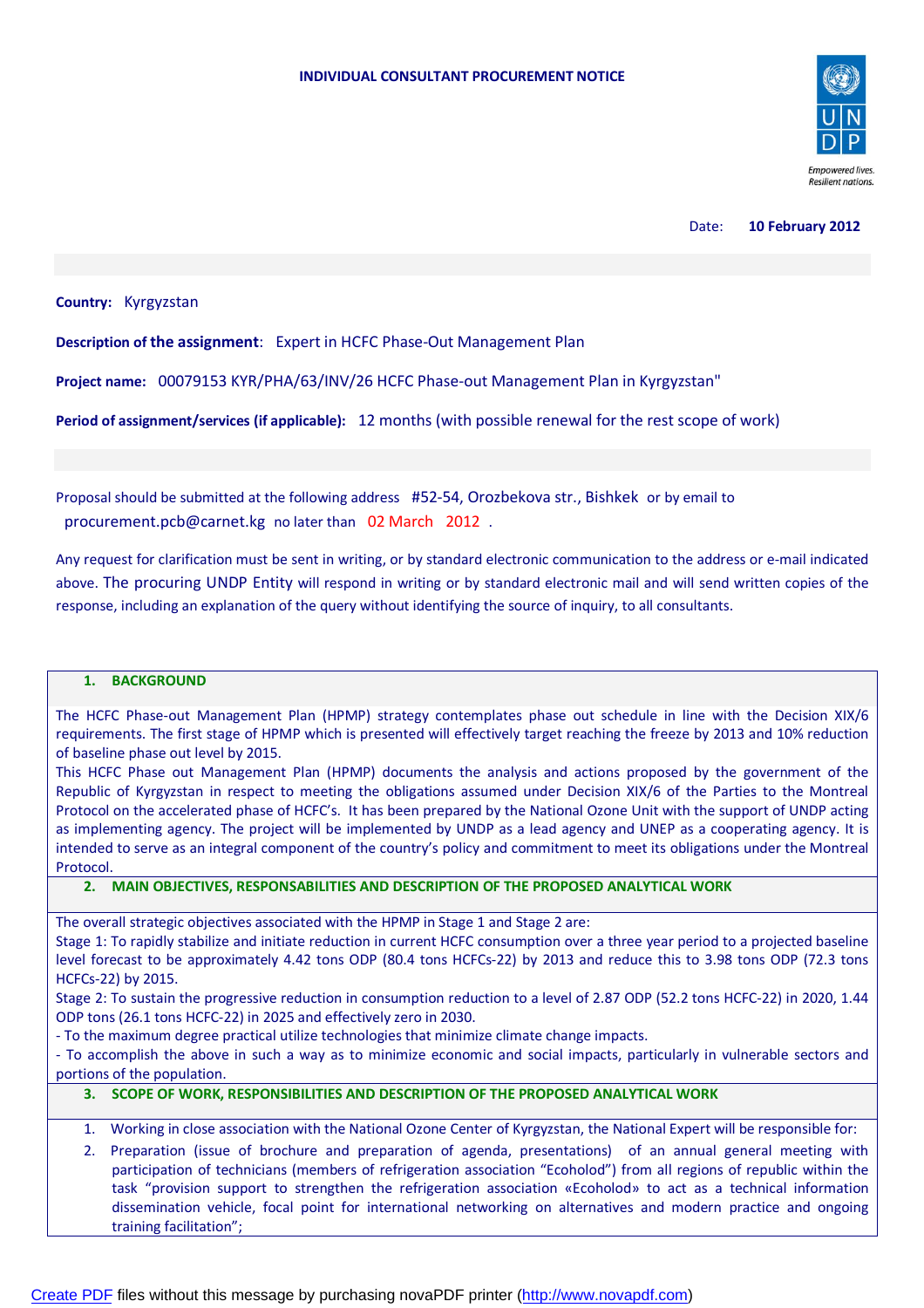

#### Date: **10 February 2012**

### **Country:** Kyrgyzstan

**Description of the assignment**: Expert in HCFC Phase-Out Management Plan

**Project name:** 00079153 KYR/PHA/63/INV/26 HCFC Phase-out Management Plan in Kyrgyzstan"

**Period of assignment/services (if applicable):** 12 months (with possible renewal for the rest scope of work)

Proposal should be submitted at the following address #52-54, Orozbekova str., Bishkek or by email to procurement.pcb@carnet.kg no later than 02 March 2012 .

Any request for clarification must be sent in writing, or by standard electronic communication to the address or e-mail indicated above. The procuring UNDP Entity will respond in writing or by standard electronic mail and will send written copies of the response, including an explanation of the query without identifying the source of inquiry, to all consultants.

#### **1. BACKGROUND**

The HCFC Phase-out Management Plan (HPMP) strategy contemplates phase out schedule in line with the Decision XIX/6 requirements. The first stage of HPMP which is presented will effectively target reaching the freeze by 2013 and 10% reduction of baseline phase out level by 2015.

This HCFC Phase out Management Plan (HPMP) documents the analysis and actions proposed by the government of the Republic of Kyrgyzstan in respect to meeting the obligations assumed under Decision XIX/6 of the Parties to the Montreal Protocol on the accelerated phase of HCFC's. It has been prepared by the National Ozone Unit with the support of UNDP acting as implementing agency. The project will be implemented by UNDP as a lead agency and UNEP as a cooperating agency. It is intended to serve as an integral component of the country's policy and commitment to meet its obligations under the Montreal **Protocol** 

**2. MAIN OBJECTIVES, RESPONSABILITIES AND DESCRIPTION OF THE PROPOSED ANALYTICAL WORK**

The overall strategic objectives associated with the HPMP in Stage 1 and Stage 2 are:

Stage 1: To rapidly stabilize and initiate reduction in current HCFC consumption over a three year period to a projected baseline level forecast to be approximately 4.42 tons ODP (80.4 tons HCFCs-22) by 2013 and reduce this to 3.98 tons ODP (72.3 tons HCFCs-22) by 2015.

Stage 2: To sustain the progressive reduction in consumption reduction to a level of 2.87 ODP (52.2 tons HCFC-22) in 2020, 1.44 ODP tons (26.1 tons HCFC-22) in 2025 and effectively zero in 2030.

- To the maximum degree practical utilize technologies that minimize climate change impacts.

- To accomplish the above in such a way as to minimize economic and social impacts, particularly in vulnerable sectors and portions of the population.

#### **3. SCOPE OF WORK, RESPONSIBILITIES AND DESCRIPTION OF THE PROPOSED ANALYTICAL WORK**

- 1. Working in close association with the National Ozone Center of Kyrgyzstan, the National Expert will be responsible for:
- 2. Preparation (issue of brochure and preparation of agenda, presentations) of an annual general meeting with participation of technicians (members of refrigeration association "Ecoholod") from all regions of republic within the task "provision support to strengthen the refrigeration association «Ecoholod» to act as a technical information dissemination vehicle, focal point for international networking on alternatives and modern practice and ongoing training facilitation";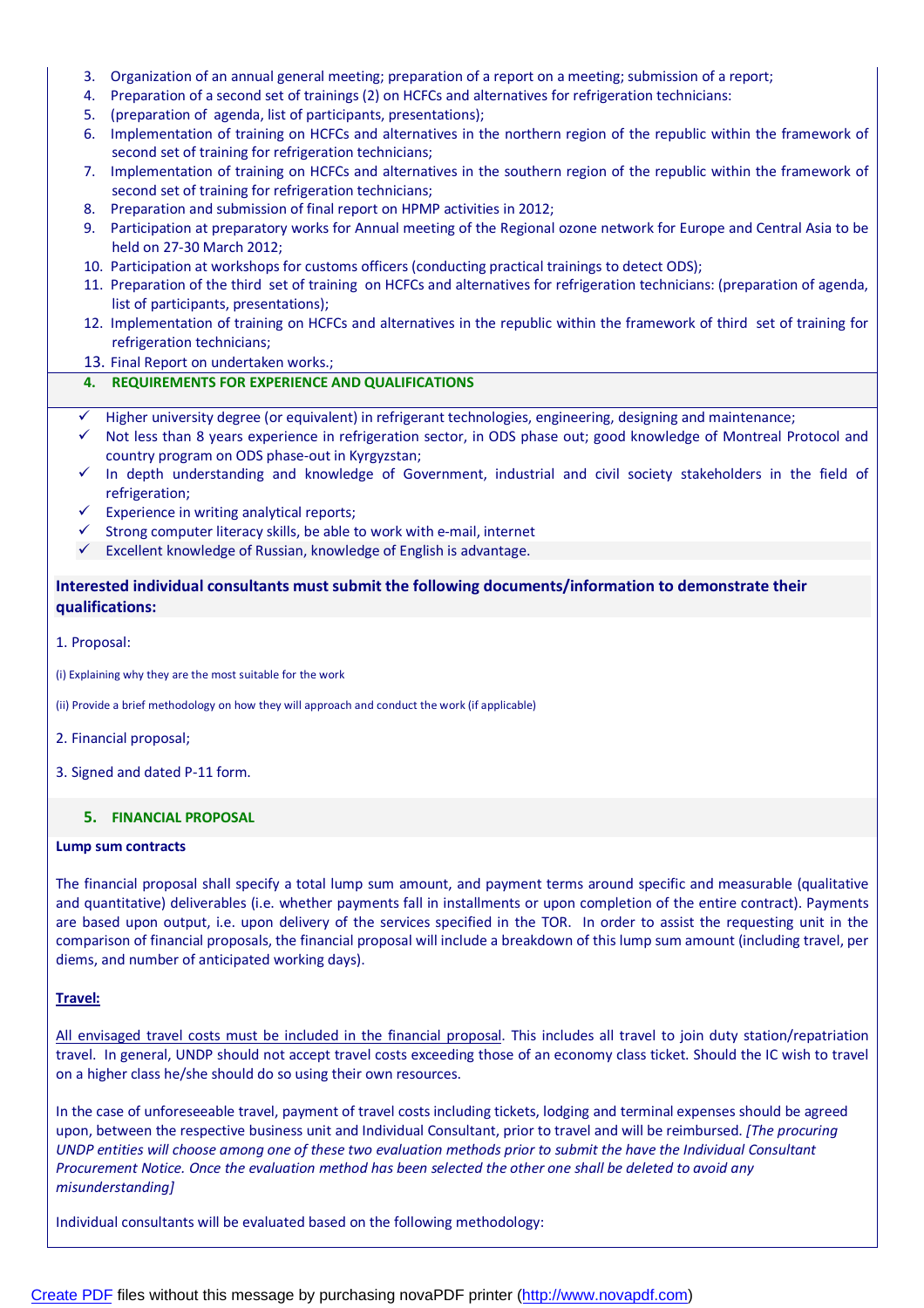- 3. Organization of an annual general meeting; preparation of a report on a meeting; submission of a report;
- 4. Preparation of a second set of trainings (2) on HCFCs and alternatives for refrigeration technicians:
- 5. (preparation of agenda, list of participants, presentations);
- 6. Implementation of training on HCFCs and alternatives in the northern region of the republic within the framework of second set of training for refrigeration technicians;
- 7. Implementation of training on HCFCs and alternatives in the southern region of the republic within the framework of second set of training for refrigeration technicians;
- 8. Preparation and submission of final report on HPMP activities in 2012;
- 9. Participation at preparatory works for Annual meeting of the Regional ozone network for Europe and Central Asia to be held on 27-30 March 2012;
- 10. Participation at workshops for customs officers (conducting practical trainings to detect ODS);
- 11. Preparation of the third set of training on HCFCs and alternatives for refrigeration technicians: (preparation of agenda, list of participants, presentations);
- 12. Implementation of training on HCFCs and alternatives in the republic within the framework of third set of training for refrigeration technicians;
- 13. Final Report on undertaken works.;

## **4. REQUIREMENTS FOR EXPERIENCE AND QUALIFICATIONS**

- Higher university degree (or equivalent) in refrigerant technologies, engineering, designing and maintenance;
- $\checkmark$  Not less than 8 years experience in refrigeration sector, in ODS phase out; good knowledge of Montreal Protocol and country program on ODS phase-out in Kyrgyzstan;
- $\checkmark$  In depth understanding and knowledge of Government, industrial and civil society stakeholders in the field of refrigeration;
- $\checkmark$  Experience in writing analytical reports;
- Strong computer literacy skills, be able to work with e-mail, internet
- $\checkmark$  Excellent knowledge of Russian, knowledge of English is advantage.

# **Interested individual consultants must submit the following documents/information to demonstrate their qualifications:**

## 1. Proposal:

(i) Explaining why they are the most suitable for the work

(ii) Provide a brief methodology on how they will approach and conduct the work (if applicable)

- 2. Financial proposal;
- 3. Signed and dated P-11 form.

## **5. FINANCIAL PROPOSAL**

### **Lump sum contracts**

The financial proposal shall specify a total lump sum amount, and payment terms around specific and measurable (qualitative and quantitative) deliverables (i.e. whether payments fall in installments or upon completion of the entire contract). Payments are based upon output, i.e. upon delivery of the services specified in the TOR. In order to assist the requesting unit in the comparison of financial proposals, the financial proposal will include a breakdown of this lump sum amount (including travel, per diems, and number of anticipated working days).

## **Travel:**

All envisaged travel costs must be included in the financial proposal. This includes all travel to join duty station/repatriation travel. In general, UNDP should not accept travel costs exceeding those of an economy class ticket. Should the IC wish to travel on a higher class he/she should do so using their own resources.

In the case of unforeseeable travel, payment of travel costs including tickets, lodging and terminal expenses should be agreed upon, between the respective business unit and Individual Consultant, prior to travel and will be reimbursed. *[The procuring UNDP entities will choose among one of these two evaluation methods prior to submit the have the Individual Consultant Procurement Notice. Once the evaluation method has been selected the other one shall be deleted to avoid any misunderstanding]*

Individual consultants will be evaluated based on the following methodology: